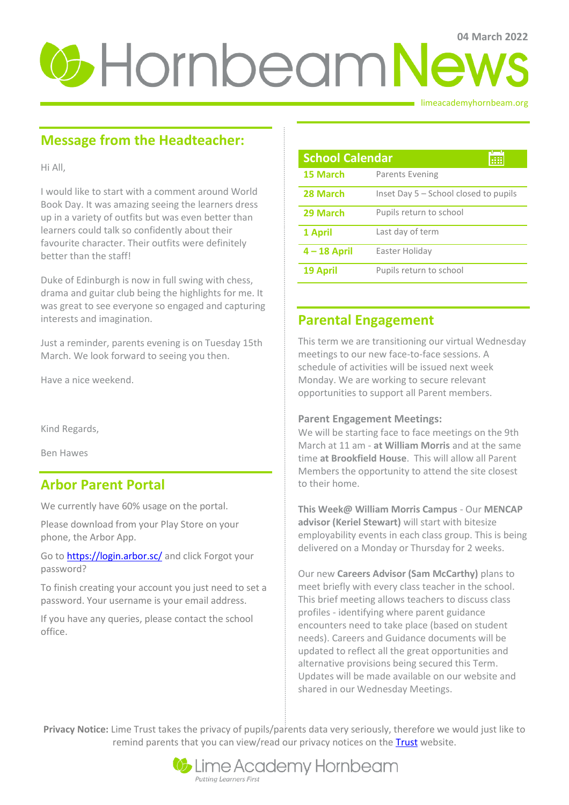# *C* Hornbeam News

limeacademyhornbeam.org

# **Message from the Headteacher:**

Hi All,

I would like to start with a comment around World Book Day. It was amazing seeing the learners dress up in a variety of outfits but was even better than learners could talk so confidently about their favourite character. Their outfits were definitely better than the staff!

Duke of Edinburgh is now in full swing with chess, drama and guitar club being the highlights for me. It was great to see everyone so engaged and capturing interests and imagination.

Just a reminder, parents evening is on Tuesday 15th March. We look forward to seeing you then.

Have a nice weekend.

Kind Regards,

Ben Hawes

## **Arbor Parent Portal**

We currently have 60% usage on the portal.

Please download from your Play Store on your phone, the Arbor App.

Go t[o https://login.arbor.sc/](https://login.arbor.sc/) and click Forgot your password?

To finish creating your account you just need to set a password. Your username is your email address.

If you have any queries, please contact the school office.

| <b>School Calendar</b> |                                       |
|------------------------|---------------------------------------|
| 15 March               | Parents Evening                       |
| 28 March               | Inset Day 5 – School closed to pupils |
| 29 March               | Pupils return to school               |
| 1 April                | Last day of term                      |
| $4 - 18$ April         | Easter Holiday                        |
| 19 April               | Pupils return to school               |

## **Parental Engagement**

This term we are transitioning our virtual Wednesday meetings to our new face-to-face sessions. A schedule of activities will be issued next week Monday. We are working to secure relevant opportunities to support all Parent members.

## **Parent Engagement Meetings:**

We will be starting face to face meetings on the 9th March at 11 am - **at William Morris** and at the same time **at Brookfield House**. This will allow all Parent Members the opportunity to attend the site closest to their home.

**This Week@ William Morris Campus** - Our **MENCAP advisor (Keriel Stewart)** will start with bitesize employability events in each class group. This is being delivered on a Monday or Thursday for 2 weeks.

Our new **Careers Advisor (Sam McCarthy)** plans to meet briefly with every class teacher in the school. This brief meeting allows teachers to discuss class profiles - identifying where parent guidance encounters need to take place (based on student needs). Careers and Guidance documents will be updated to reflect all the great opportunities and alternative provisions being secured this Term. Updates will be made available on our website and shared in our Wednesday Meetings.

**Privacy Notice:** Lime Trust takes the privacy of pupils/parents data very seriously, therefore we would just like to remind parents that you can view/read our privacy notices on the [Trust](http://limetrust.org/lime-trust-information/policies/) website.

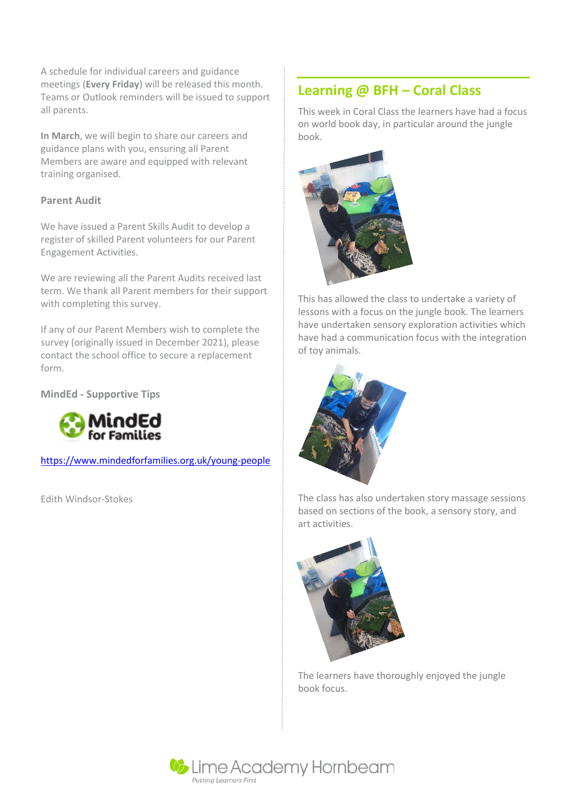A schedule for individual careers and guidance meetings (**Every Friday**) will be released this month. Teams or Outlook reminders will be issued to support all parents.

**In March**, we will begin to share our careers and guidance plans with you, ensuring all Parent Members are aware and equipped with relevant training organised.

## **Parent Audit**

We have issued a Parent Skills Audit to develop a register of skilled Parent volunteers for our Parent Engagement Activities.

We are reviewing all the Parent Audits received last term. We thank all Parent members for their support with completing this survey.

If any of our Parent Members wish to complete the survey (originally issued in December 2021), please contact the school office to secure a replacement form.

**MindEd - Supportive Tips**



<https://www.mindedforfamilies.org.uk/young-people>

Edith Windsor-Stokes

# **Learning @ BFH – Coral Class**

This week in Coral Class the learners have had a focus on world book day, in particular around the jungle book.



This has allowed the class to undertake a variety of lessons with a focus on the jungle book. The learners have undertaken sensory exploration activities which have had a communication focus with the integration of toy animals.



The class has also undertaken story massage sessions based on sections of the book, a sensory story, and art activities.



The learners have thoroughly enjoyed the jungle book focus.